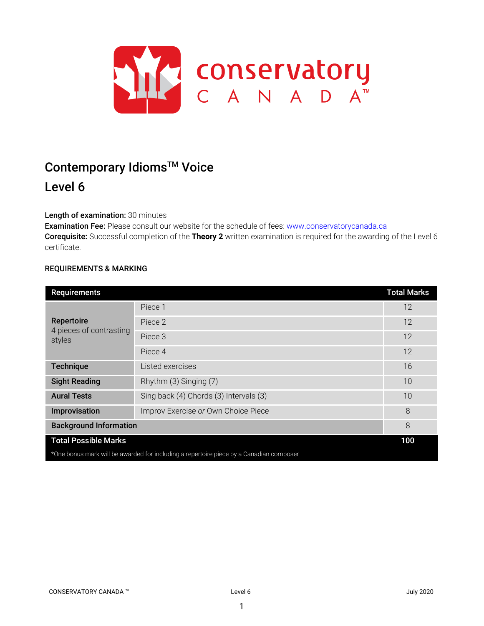

# Contemporary Idioms<sup>™</sup> Voice Level 6

# Length of examination: 30 minutes

Examination Fee: Please consult our website for the schedule of fees: www.conservatorycanada.ca Corequisite: Successful completion of the **Theory 2** written examination is required for the awarding of the Level 6 certificate.

## REQUIREMENTS & MARKING

| Requirements                                                                            |                                        | <b>Total Marks</b> |  |
|-----------------------------------------------------------------------------------------|----------------------------------------|--------------------|--|
| Repertoire<br>4 pieces of contrasting<br>styles                                         | Piece 1                                | 12                 |  |
|                                                                                         | Piece 2                                | 12                 |  |
|                                                                                         | Piece 3                                | 12                 |  |
|                                                                                         | Piece 4                                | 12                 |  |
| <b>Technique</b>                                                                        | Listed exercises                       | 16                 |  |
| <b>Sight Reading</b>                                                                    | Rhythm (3) Singing (7)                 | 10                 |  |
| <b>Aural Tests</b>                                                                      | Sing back (4) Chords (3) Intervals (3) | 10                 |  |
| Improvisation                                                                           | Improv Exercise or Own Choice Piece    | 8                  |  |
| <b>Background Information</b>                                                           |                                        | 8                  |  |
| <b>Total Possible Marks</b>                                                             |                                        | 100                |  |
| *One bonus mark will be awarded for including a repertoire piece by a Canadian composer |                                        |                    |  |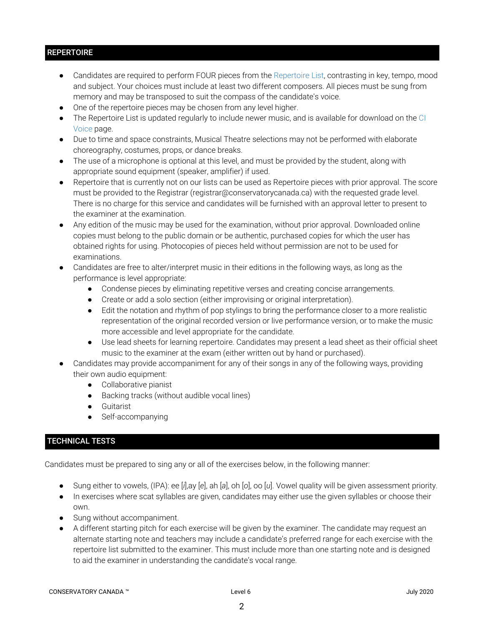# **REPERTOIRE**

- Candidates are required to perform FOUR pieces from the Repertoire List, contrasting in key, tempo, mood and subject. Your choices must include at least two different composers. All pieces must be sung from memory and may be transposed to suit the compass of the candidate's voice.
- One of the repertoire pieces may be chosen from any level higher.
- The Repertoire List is updated regularly to include newer music, and is available for download on the CI Voice page.
- Due to time and space constraints, Musical Theatre selections may not be performed with elaborate choreography, costumes, props, or dance breaks.
- The use of a microphone is optional at this level, and must be provided by the student, along with appropriate sound equipment (speaker, amplifier) if used.
- Repertoire that is currently not on our lists can be used as Repertoire pieces with prior approval. The score must be provided to the Registrar (registrar@conservatorycanada.ca) with the requested grade level. There is no charge for this service and candidates will be furnished with an approval letter to present to the examiner at the examination.
- Any edition of the music may be used for the examination, without prior approval. Downloaded online copies must belong to the public domain or be authentic, purchased copies for which the user has obtained rights for using. Photocopies of pieces held without permission are not to be used for examinations.
- Candidates are free to alter/interpret music in their editions in the following ways, as long as the performance is level appropriate:
	- Condense pieces by eliminating repetitive verses and creating concise arrangements.
	- Create or add a solo section (either improvising or original interpretation).
	- Edit the notation and rhythm of pop stylings to bring the performance closer to a more realistic representation of the original recorded version or live performance version, or to make the music more accessible and level appropriate for the candidate.
	- Use lead sheets for learning repertoire. Candidates may present a lead sheet as their official sheet music to the examiner at the exam (either written out by hand or purchased).
- Candidates may provide accompaniment for any of their songs in any of the following ways, providing their own audio equipment:
	- Collaborative pianist
	- Backing tracks (without audible vocal lines)
	- Guitarist
	- Self-accompanying

# TECHNICAL TESTS

Candidates must be prepared to sing any or all of the exercises below, in the following manner:

- Sung either to vowels, (IPA): ee [*i*],ay [*e*], ah [*a*], oh [*o*], oo [*u*]. Vowel quality will be given assessment priority.
- In exercises where scat syllables are given, candidates may either use the given syllables or choose their own.
- Sung without accompaniment.
- A different starting pitch for each exercise will be given by the examiner. The candidate may request an alternate starting note and teachers may include a candidate's preferred range for each exercise with the repertoire list submitted to the examiner. This must include more than one starting note and is designed to aid the examiner in understanding the candidate's vocal range.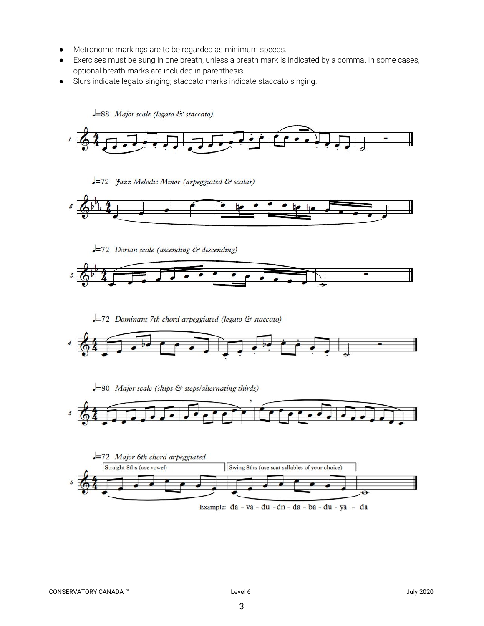- Metronome markings are to be regarded as minimum speeds.
- Exercises must be sung in one breath, unless a breath mark is indicated by a comma. In some cases, optional breath marks are included in parenthesis.
- Slurs indicate legato singing; staccato marks indicate staccato singing.

 $=88$  Major scale (legato & staccato)



-72 Jazz Melodic Minor (arpeggiated & scalar)



 $-72$  Dorian scale (ascending & descending)



-72 Dominant 7th chord arpeggiated (legato & staccato)







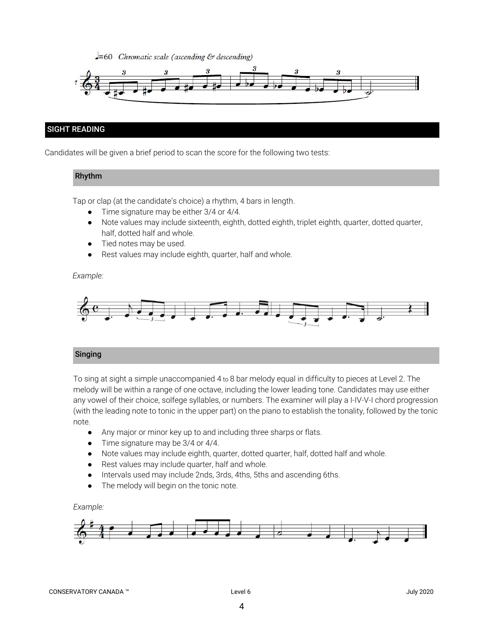$-50$  Chromatic scale (ascending & descending)



# SIGHT READING

Candidates will be given a brief period to scan the score for the following two tests:

## Rhythm

Tap or clap (at the candidate's choice) a rhythm, 4 bars in length.

- Time signature may be either 3/4 or 4/4.
- Note values may include sixteenth, eighth, dotted eighth, triplet eighth, quarter, dotted quarter, half, dotted half and whole.
- Tied notes may be used.
- Rest values may include eighth, quarter, half and whole.

*Example:*



#### Singing

To sing at sight a simple unaccompanied 4 to 8 bar melody equal in difficulty to pieces at Level 2. The melody will be within a range of one octave, including the lower leading tone. Candidates may use either any vowel of their choice, solfege syllables, or numbers. The examiner will play a I-IV-V-I chord progression (with the leading note to tonic in the upper part) on the piano to establish the tonality, followed by the tonic note.

- *●* Any major or minor key up to and including three sharps or flats.
- Time signature may be 3/4 or 4/4.
- Note values may include eighth, quarter, dotted quarter, half, dotted half and whole.
- Rest values may include quarter, half and whole.
- Intervals used may include 2nds, 3rds, 4ths, 5ths and ascending 6ths.
- The melody will begin on the tonic note.

*Example:*

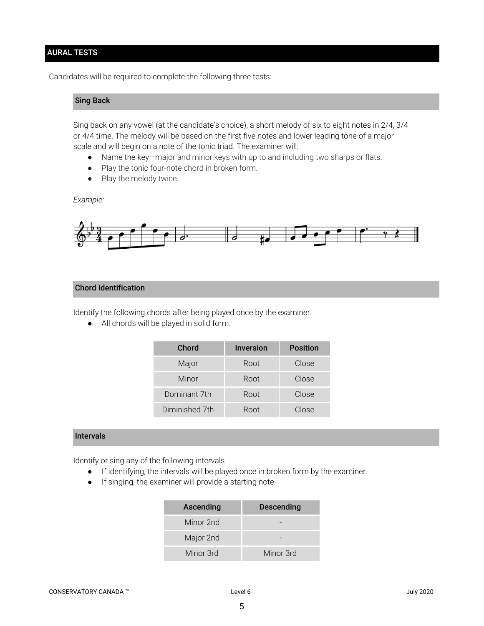## AURAL TESTS

Candidates will be required to complete the following three tests:

# Sing Back

Sing back on any vowel (at the candidate's choice), a short melody of six to eight notes in 2/4, 3/4 or 4/4 time. The melody will be based on the first five notes and lower leading tone of a major scale and will begin on a note of the tonic triad. The examiner will:

- Name the key—major and minor keys with up to and including two sharps or flats.
- Play the tonic four-note chord in broken form.
- Play the melody twice.

#### *Example:*



## Chord Identification

Identify the following chords after being played once by the examiner.

● All chords will be played in solid form.

| Chord          | <b>Inversion</b> | <b>Position</b> |
|----------------|------------------|-----------------|
| Major          | Root             | Close           |
| Minor          | Root             | Close           |
| Dominant 7th   | Root             | Close           |
| Diminished 7th | Root             | Close           |

#### Intervals

Identify or sing any of the following intervals

- If identifying, the intervals will be played once in broken form by the examiner.
- If singing, the examiner will provide a starting note.

| Ascending | <b>Descending</b> |
|-----------|-------------------|
| Minor 2nd |                   |
| Major 2nd |                   |
| Minor 3rd | Minor 3rd         |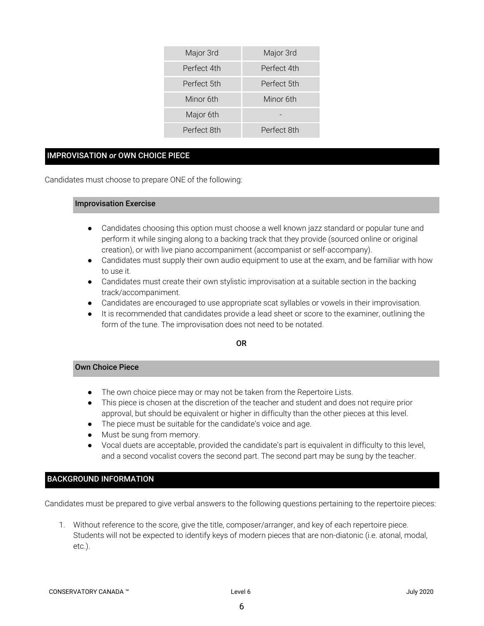| Major 3rd   | Major 3rd   |
|-------------|-------------|
| Perfect 4th | Perfect 4th |
| Perfect 5th | Perfect 5th |
| Minor 6th   | Minor 6th   |
| Major 6th   |             |
| Perfect 8th | Perfect 8th |

## IMPROVISATION *or* OWN CHOICE PIECE

Candidates must choose to prepare ONE of the following:

#### Improvisation Exercise

- Candidates choosing this option must choose a well known jazz standard or popular tune and perform it while singing along to a backing track that they provide (sourced online or original creation), or with live piano accompaniment (accompanist or self-accompany).
- Candidates must supply their own audio equipment to use at the exam, and be familiar with how to use it.
- Candidates must create their own stylistic improvisation at a suitable section in the backing track/accompaniment.
- Candidates are encouraged to use appropriate scat syllables or vowels in their improvisation.
- It is recommended that candidates provide a lead sheet or score to the examiner, outlining the form of the tune. The improvisation does not need to be notated.

## OR

#### Own Choice Piece

- The own choice piece may or may not be taken from the Repertoire Lists.
- This piece is chosen at the discretion of the teacher and student and does not require prior approval, but should be equivalent or higher in difficulty than the other pieces at this level.
- The piece must be suitable for the candidate's voice and age.
- Must be sung from memory.
- Vocal duets are acceptable, provided the candidate's part is equivalent in difficulty to this level, and a second vocalist covers the second part. The second part may be sung by the teacher.

# BACKGROUND INFORMATION

Candidates must be prepared to give verbal answers to the following questions pertaining to the repertoire pieces:

1. Without reference to the score, give the title, composer/arranger, and key of each repertoire piece. Students will not be expected to identify keys of modern pieces that are non-diatonic (i.e. atonal, modal, etc.).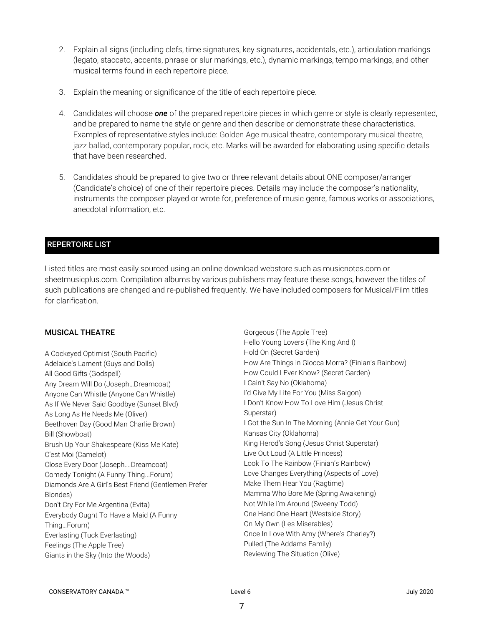- 2. Explain all signs (including clefs, time signatures, key signatures, accidentals, etc.), articulation markings (legato, staccato, accents, phrase or slur markings, etc.), dynamic markings, tempo markings, and other musical terms found in each repertoire piece.
- 3. Explain the meaning or significance of the title of each repertoire piece.
- 4. Candidates will choose *one* of the prepared repertoire pieces in which genre or style is clearly represented, and be prepared to name the style or genre and then describe or demonstrate these characteristics. Examples of representative styles include: Golden Age musical theatre, contemporary musical theatre, jazz ballad, contemporary popular, rock, etc. Marks will be awarded for elaborating using specific details that have been researched.
- 5. Candidates should be prepared to give two or three relevant details about ONE composer/arranger (Candidate's choice) of one of their repertoire pieces. Details may include the composer's nationality, instruments the composer played or wrote for, preference of music genre, famous works or associations, anecdotal information, etc.

# REPERTOIRE LIST

Listed titles are most easily sourced using an online download webstore such as musicnotes.com or sheetmusicplus.com. Compilation albums by various publishers may feature these songs, however the titles of such publications are changed and re-published frequently. We have included composers for Musical/Film titles for clarification.

#### MUSICAL THEATRE

A Cockeyed Optimist (South Pacific) Adelaide's Lament (Guys and Dolls) All Good Gifts (Godspell) Any Dream Will Do (Joseph…Dreamcoat) Anyone Can Whistle (Anyone Can Whistle) As If We Never Said Goodbye (Sunset Blvd) As Long As He Needs Me (Oliver) Beethoven Day (Good Man Charlie Brown) Bill (Showboat) Brush Up Your Shakespeare (Kiss Me Kate) C'est Moi (Camelot) Close Every Door (Joseph….Dreamcoat) Comedy Tonight (A Funny Thing...Forum) Diamonds Are A Girl's Best Friend (Gentlemen Prefer Blondes) Don't Cry For Me Argentina (Evita) Everybody Ought To Have a Maid (A Funny Thing…Forum) Everlasting (Tuck Everlasting) Feelings (The Apple Tree) Giants in the Sky (Into the Woods)

Gorgeous (The Apple Tree) Hello Young Lovers (The King And I) Hold On (Secret Garden) How Are Things in Glocca Morra? (Finian's Rainbow) How Could I Ever Know? (Secret Garden) I Cain't Say No (Oklahoma) I'd Give My Life For You (Miss Saigon) I Don't Know How To Love Him (Jesus Christ Superstar) I Got the Sun In The Morning (Annie Get Your Gun) Kansas City (Oklahoma) King Herod's Song (Jesus Christ Superstar) Live Out Loud (A Little Princess) Look To The Rainbow (Finian's Rainbow) Love Changes Everything (Aspects of Love) Make Them Hear You (Ragtime) Mamma Who Bore Me (Spring Awakening) Not While I'm Around (Sweeny Todd) One Hand One Heart (Westside Story) On My Own (Les Miserables) Once In Love With Amy (Where's Charley?) Pulled (The Addams Family) Reviewing The Situation (Olive)